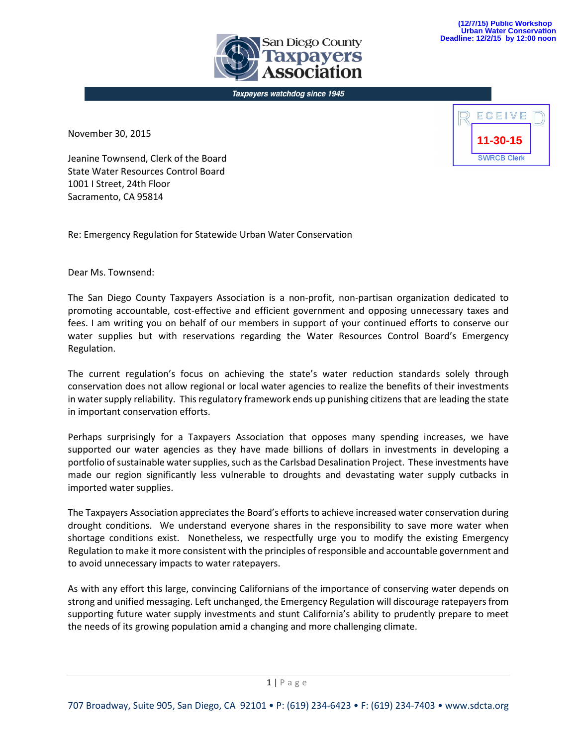**ın Diego County** 

Taxpayers watchdog since 1945

November 30, 2015



Jeanine Townsend, Clerk of the Board State Water Resources Control Board 1001 I Street, 24th Floor Sacramento, CA 95814

Re: Emergency Regulation for Statewide Urban Water Conservation

Dear Ms. Townsend:

The San Diego County Taxpayers Association is a non-profit, non-partisan organization dedicated to promoting accountable, cost-effective and efficient government and opposing unnecessary taxes and fees. I am writing you on behalf of our members in support of your continued efforts to conserve our water supplies but with reservations regarding the Water Resources Control Board's Emergency Regulation.

The current regulation's focus on achieving the state's water reduction standards solely through conservation does not allow regional or local water agencies to realize the benefits of their investments in water supply reliability. This regulatory framework ends up punishing citizens that are leading the state in important conservation efforts.

Perhaps surprisingly for a Taxpayers Association that opposes many spending increases, we have supported our water agencies as they have made billions of dollars in investments in developing a portfolio of sustainable water supplies, such as the Carlsbad Desalination Project. These investments have made our region significantly less vulnerable to droughts and devastating water supply cutbacks in imported water supplies.

The Taxpayers Association appreciates the Board's efforts to achieve increased water conservation during drought conditions. We understand everyone shares in the responsibility to save more water when shortage conditions exist. Nonetheless, we respectfully urge you to modify the existing Emergency Regulation to make it more consistent with the principles of responsible and accountable government and to avoid unnecessary impacts to water ratepayers.

As with any effort this large, convincing Californians of the importance of conserving water depends on strong and unified messaging. Left unchanged, the Emergency Regulation will discourage ratepayers from supporting future water supply investments and stunt California's ability to prudently prepare to meet the needs of its growing population amid a changing and more challenging climate.